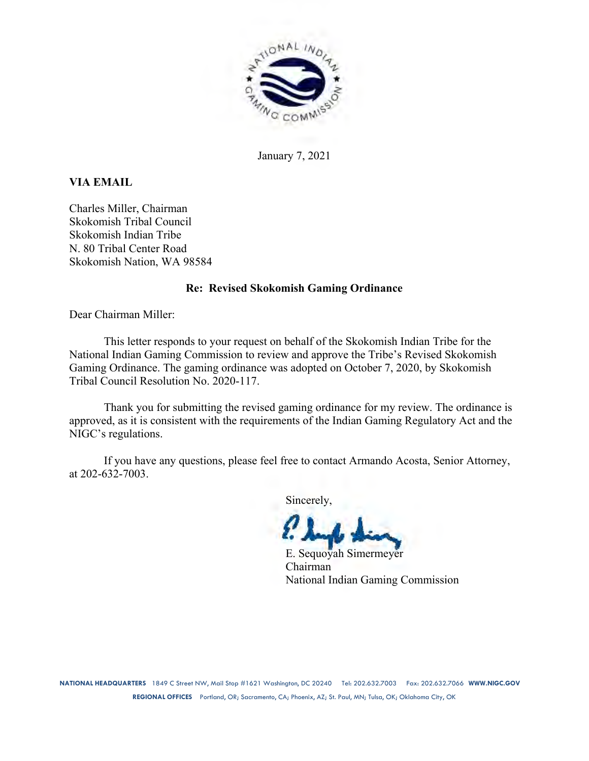

January 7, 2021

# **VIA EMAIL**

Charles Miller, Chairman Skokomish Tribal Council Skokomish Indian Tribe N. 80 Tribal Center Road Skokomish Nation, WA 98584

## **Re: Revised Skokomish Gaming Ordinance**

Dear Chairman Miller:

This letter responds to your request on behalf of the Skokomish Indian Tribe for the National Indian Gaming Commission to review and approve the Tribe's Revised Skokomish Gaming Ordinance. The gaming ordinance was adopted on October 7, 2020, by Skokomish Tribal Council Resolution No. 2020-117.

Thank you for submitting the revised gaming ordinance for my review. The ordinance is approved, as it is consistent with the requirements of the Indian Gaming Regulatory Act and the NIGC's regulations.

If you have any questions, please feel free to contact Armando Acosta, Senior Attorney, at 202-632-7003.

Sincerely,

E. Sequoyah Simermeyer Chairman National Indian Gaming Commission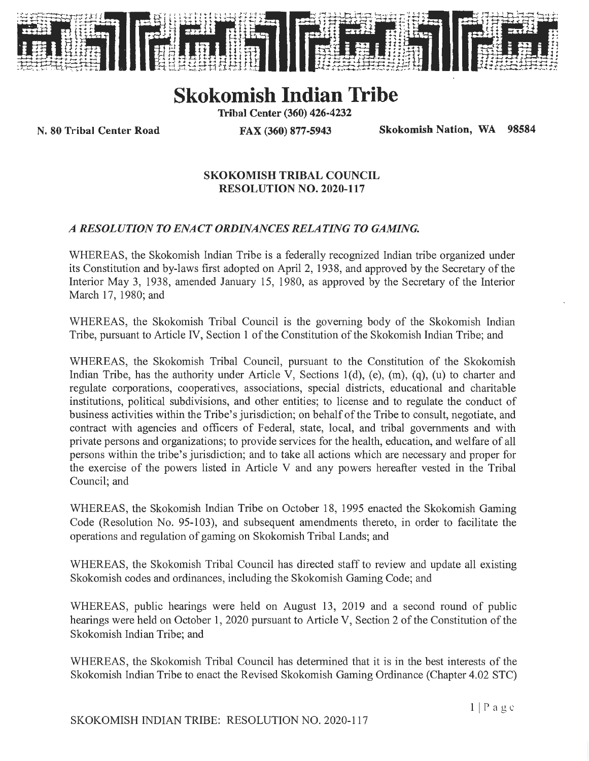

# **Skokomish Indian Tribe**

**Tribal Center (360) 426-4232** 

**N. 80 Tribal Center Road FAX (360) 877-5943 Skokomish Nation, WA 98584** 

## **SKOKOMISH TRIBAL COUNCIL RESOLUTION NO. 2020-117**

# *A RESOLUTION TO ENACT ORDINANCES RELATING TO GAMING.*

WHEREAS, the Skokomish Indian Tribe is a federally recognized Indian tribe organized under its Constitution and by-laws first adopted on April 2, 1938, and approved by the Secretary of the Interior May 3, 1938, amended January 15, 1980, as approved by the Secretary of the Interior March 17, 1980; and

WHEREAS, the Skokomish Tribal Council is the governing body of the Skokomish Indian Tribe, pursuant to Article IV, Section 1 of the Constitution of the Skokomish Indian Tribe; and

WHEREAS, the Skokomish Tribal Council, pursuant to the Constitution of the Skokomish Indian Tribe, has the authority under Article V, Sections l(d), (e), (m), (q), (u) to charter and regulate corporations, cooperatives, associations, special districts, educational and charitable institutions, political subdivisions, and other entities; to license and to regulate the conduct of business activities within the Tribe's jurisdiction; on behalf of the Tribe to consult, negotiate, and contract with agencies and officers of Federal, state, local, and tribal governments and with private persons and organizations; to provide services for the health, education, and welfare of all persons within the tribe's jurisdiction; and to take all actions which are necessary and proper for the exercise of the powers listed in Article V and any powers hereafter vested in the Tribal Council; and

WHEREAS, the Skokomish Indian Tribe on October 18, 1995 enacted the Skokomish Gaming Code (Resolution No. 95-103), and subsequent amendments thereto, in order to facilitate the operations and regulation of gaming on Skokomish Tribal Lands; and

WHEREAS, the Skokomish Tribal Council has directed staff to review and update all existing Skokomish codes and ordinances, including the Skokomish Gaming Code; and

WHEREAS, public hearings were held on August 13, 2019 and a second round of public hearings were held on October 1, 2020 pursuant to Article V, Section 2 of the Constitution of the Skokomish Indian Tribe; and

WHEREAS, the Skokomish Tribal Council has determined that it is in the best interests of the Skokomish Indian Tribe to enact the Revised Skokomish Gaming Ordinance (Chapter 4.02 STC)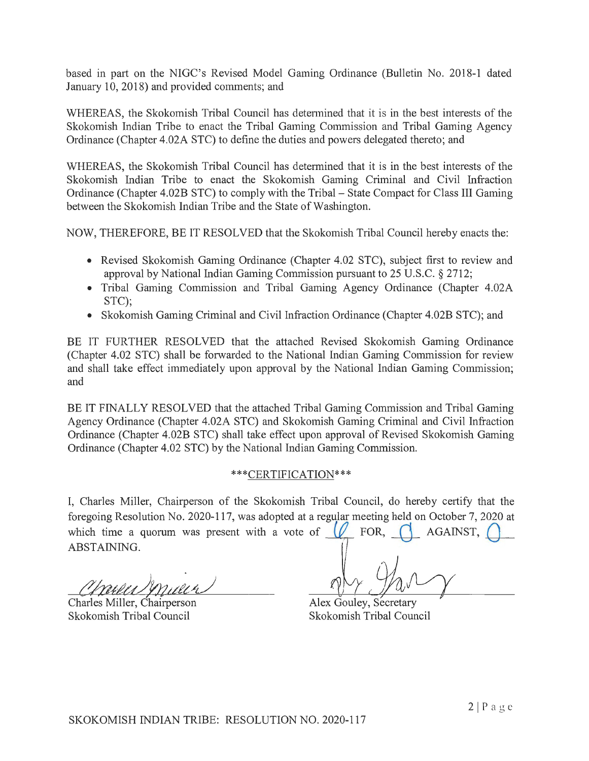based in part on the NIGC's Revised Model Gaming Ordinance (Bulletin No. 2018-1 dated January 10, 2018) and provided comments; and

WHEREAS, the Skokomish Tribal Council has detennined that it is in the best interests of the Skokomish Indian Tribe to enact the Tribal Gaming Commission and Tribal Gaming Agency Ordinance (Chapter 4.02A STC) to define the duties and powers delegated thereto; and

WHEREAS, the Skokomish Tribal Council has determined that it is in the best interests of the Skokomish Indian Tribe to enact the Skokomish Gaming Criminal and Civil Infraction Ordinance (Chapter 4.02B STC) to comply with the Tribal – State Compact for Class III Gaming between the Skokomish Indian Tribe and the State of Washington.

NOW, THEREFORE, BE IT RESOLVED that the Skokomish Tribal Council hereby enacts the:

- Revised Skokomish Gaming Ordinance (Chapter 4.02 STC), subject first to review and approval by National Indian Gaming Commission pursuant to 25 U.S.C. § 2712;
- Tribal Gaming Commission and Tribal Gaming Agency Ordinance (Chapter 4.02A) STC);
- Skokomish Gaming Criminal and Civil Infraction Ordinance (Chapter 4.02B STC); and

BE IT FURTHER RESOLVED that the attached Revised Skokomish Gaming Ordinance (Chapter 4.02 STC) shall be forwarded to the National Indian Gaming Commission for review and shall take effect immediately upon approval by the National Indian Gaming Commission; and

BE IT FINALLY RESOLVED that the attached Tribal Gaming Commission and Tribal Gaming Agency Ordinance (Chapter 4.02A STC) and Skokomish Gaming Criminal and Civil Infraction Ordinance (Chapter 4.02B STC) shall take effect upon approval of Revised Skokomish Gaming Ordinance (Chapter 4.02 STC) by the National Indian Gaming Commission.

## \*\*\*CERTIFICATION\*\*\*

I, Charles Miller, Chairperson of the Skokomish Tribal Council, do hereby certify that the foregoing Resolution No. 2020-117, was adopted at a regular meeting held on October 7, 2020 at which time a quorum was present with a vote of  $\left(\sqrt{\frac{1}{2}}\right)$  FOR,  $\left(\sqrt{\frac{1}{2}}\right)$  AGAINST, ABSTAINING.

Charles Miller, Chairperson Skokomish Tribal Council

Alex Gouley, Secretary Skokomish Tribal Council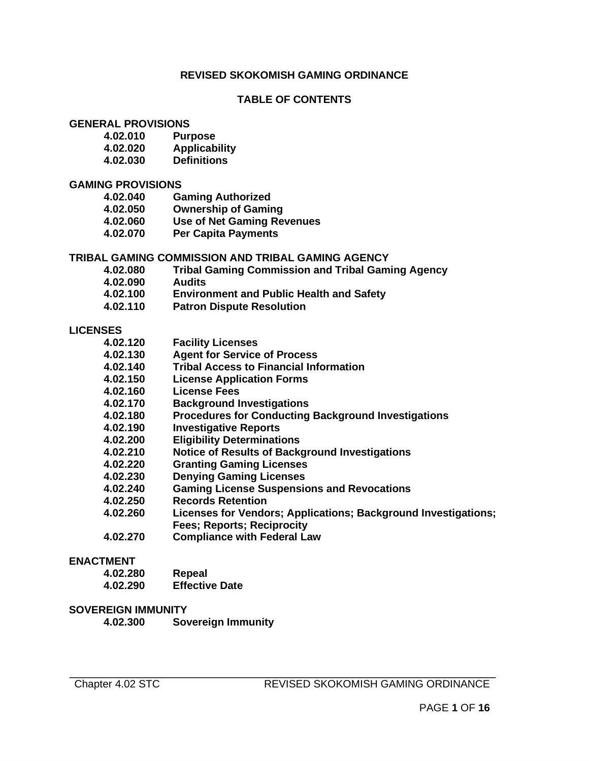## **REVISED SKOKOMISH GAMING ORDINANCE**

## **TABLE OF CONTENTS**

# **GENERAL PROVISIONS**

- **4.02.010 Purpose**
- **4.02.020 Applicability**
- **4.02.030 Definitions**

# **GAMING PROVISIONS**

- **4.02.040 Gaming Authorized 4.02.050 Ownership of Gaming 4.02.060 Use of Net Gaming Revenues**
- **4.02.070 Per Capita Payments**

#### **TRIBAL GAMING COMMISSION AND TRIBAL GAMING AGENCY**

- **4.02.080 Tribal Gaming Commission and Tribal Gaming Agency**
- **4.02.090 Audits**
- **4.02.100 Environment and Public Health and Safety**
- **4.02.110 Patron Dispute Resolution**

#### **LICENSES**

| 4.02.120 |  | <b>Facility Licenses</b> |  |
|----------|--|--------------------------|--|
|          |  |                          |  |

- **4.02.130 Agent for Service of Process**
- **4.02.140 Tribal Access to Financial Information**
- **4.02.150 License Application Forms**
- **4.02.160 License Fees**
- **4.02.170 Background Investigations**
- **4.02.180 Procedures for Conducting Background Investigations**
- **4.02.190 Investigative Reports**
- **4.02.200 Eligibility Determinations**
- **4.02.210 Notice of Results of Background Investigations**
- **4.02.220 Granting Gaming Licenses**
- **4.02.230 Denying Gaming Licenses**
- **4.02.240 Gaming License Suspensions and Revocations**
- **4.02.250 Records Retention**
- **4.02.260 Licenses for Vendors; Applications; Background Investigations; Fees; Reports; Reciprocity**
- **4.02.270 Compliance with Federal Law**

#### **ENACTMENT**

| 4.02.280 | Repeal                |
|----------|-----------------------|
| 4.02.290 | <b>Effective Date</b> |

#### **SOVEREIGN IMMUNITY**

**4.02.300 Sovereign Immunity**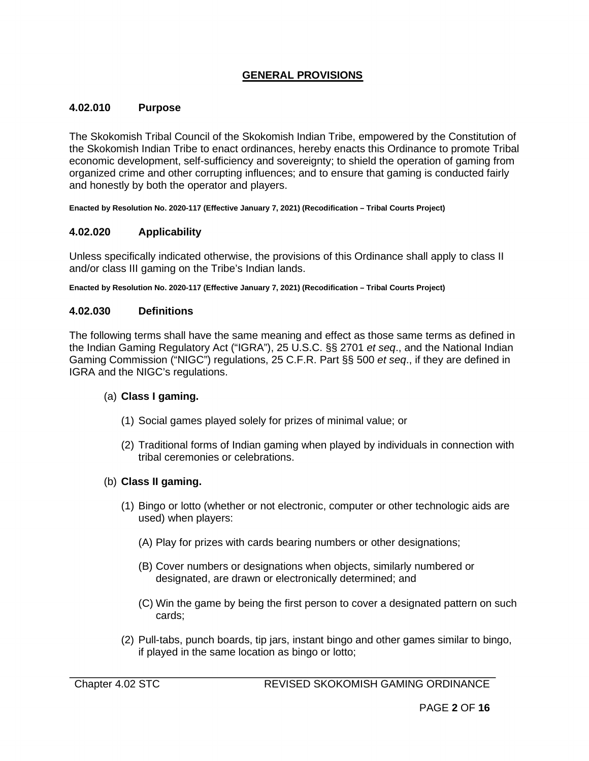# **GENERAL PROVISIONS**

#### **4.02.010 Purpose**

The Skokomish Tribal Council of the Skokomish Indian Tribe, empowered by the Constitution of the Skokomish Indian Tribe to enact ordinances, hereby enacts this Ordinance to promote Tribal economic development, self-sufficiency and sovereignty; to shield the operation of gaming from organized crime and other corrupting influences; and to ensure that gaming is conducted fairly and honestly by both the operator and players.

**Enacted by Resolution No. 2020-117 (Effective January 7, 2021) (Recodification – Tribal Courts Project)**

## **4.02.020 Applicability**

Unless specifically indicated otherwise, the provisions of this Ordinance shall apply to class II and/or class III gaming on the Tribe's Indian lands.

**Enacted by Resolution No. 2020-117 (Effective January 7, 2021) (Recodification – Tribal Courts Project)**

## **4.02.030 Definitions**

The following terms shall have the same meaning and effect as those same terms as defined in the Indian Gaming Regulatory Act ("IGRA"), 25 U.S.C. §§ 2701 *et seq*., and the National Indian Gaming Commission ("NIGC") regulations, 25 C.F.R. Part §§ 500 *et seq*., if they are defined in IGRA and the NIGC's regulations.

## (a) **Class I gaming.**

- (1) Social games played solely for prizes of minimal value; or
- (2) Traditional forms of Indian gaming when played by individuals in connection with tribal ceremonies or celebrations.

## (b) **Class II gaming.**

- (1) Bingo or lotto (whether or not electronic, computer or other technologic aids are used) when players:
	- (A) Play for prizes with cards bearing numbers or other designations;
	- (B) Cover numbers or designations when objects, similarly numbered or designated, are drawn or electronically determined; and
	- (C) Win the game by being the first person to cover a designated pattern on such cards;
- (2) Pull-tabs, punch boards, tip jars, instant bingo and other games similar to bingo, if played in the same location as bingo or lotto;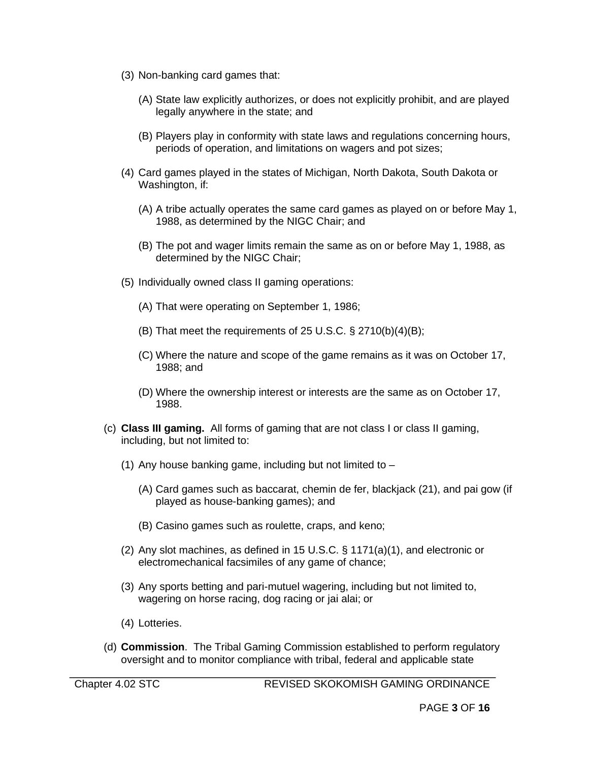- (3) Non-banking card games that:
	- (A) State law explicitly authorizes, or does not explicitly prohibit, and are played legally anywhere in the state; and
	- (B) Players play in conformity with state laws and regulations concerning hours, periods of operation, and limitations on wagers and pot sizes;
- (4) Card games played in the states of Michigan, North Dakota, South Dakota or Washington, if:
	- (A) A tribe actually operates the same card games as played on or before May 1, 1988, as determined by the NIGC Chair; and
	- (B) The pot and wager limits remain the same as on or before May 1, 1988, as determined by the NIGC Chair;
- (5) Individually owned class II gaming operations:
	- (A) That were operating on September 1, 1986;
	- (B) That meet the requirements of 25 U.S.C. § 2710(b)(4)(B);
	- (C) Where the nature and scope of the game remains as it was on October 17, 1988; and
	- (D) Where the ownership interest or interests are the same as on October 17, 1988.
- (c) **Class III gaming.** All forms of gaming that are not class I or class II gaming, including, but not limited to:
	- (1) Any house banking game, including but not limited to  $-$ 
		- (A) Card games such as baccarat, chemin de fer, blackjack (21), and pai gow (if played as house-banking games); and
		- (B) Casino games such as roulette, craps, and keno;
	- (2) Any slot machines, as defined in 15 U.S.C. § 1171(a)(1), and electronic or electromechanical facsimiles of any game of chance;
	- (3) Any sports betting and pari-mutuel wagering, including but not limited to, wagering on horse racing, dog racing or jai alai; or
	- (4) Lotteries.
- (d) **Commission**. The Tribal Gaming Commission established to perform regulatory oversight and to monitor compliance with tribal, federal and applicable state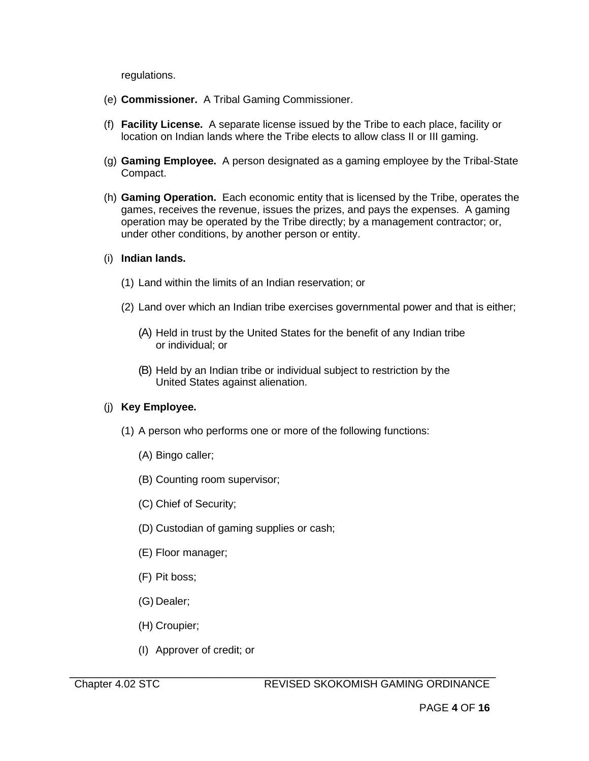regulations.

- (e) **Commissioner.** A Tribal Gaming Commissioner.
- (f) **Facility License.** A separate license issued by the Tribe to each place, facility or location on Indian lands where the Tribe elects to allow class II or III gaming.
- (g) **Gaming Employee.** A person designated as a gaming employee by the Tribal-State Compact.
- (h) **Gaming Operation.** Each economic entity that is licensed by the Tribe, operates the games, receives the revenue, issues the prizes, and pays the expenses. A gaming operation may be operated by the Tribe directly; by a management contractor; or, under other conditions, by another person or entity.
- (i) **Indian lands.**
	- (1) Land within the limits of an Indian reservation; or
	- (2) Land over which an Indian tribe exercises governmental power and that is either;
		- (A) Held in trust by the United States for the benefit of any Indian tribe or individual; or
		- (B) Held by an Indian tribe or individual subject to restriction by the United States against alienation.

## (j) **Key Employee.**

- (1) A person who performs one or more of the following functions:
	- (A) Bingo caller;
	- (B) Counting room supervisor;
	- (C) Chief of Security;
	- (D) Custodian of gaming supplies or cash;
	- (E) Floor manager;
	- (F) Pit boss;
	- (G) Dealer;
	- (H) Croupier;
	- (I) Approver of credit; or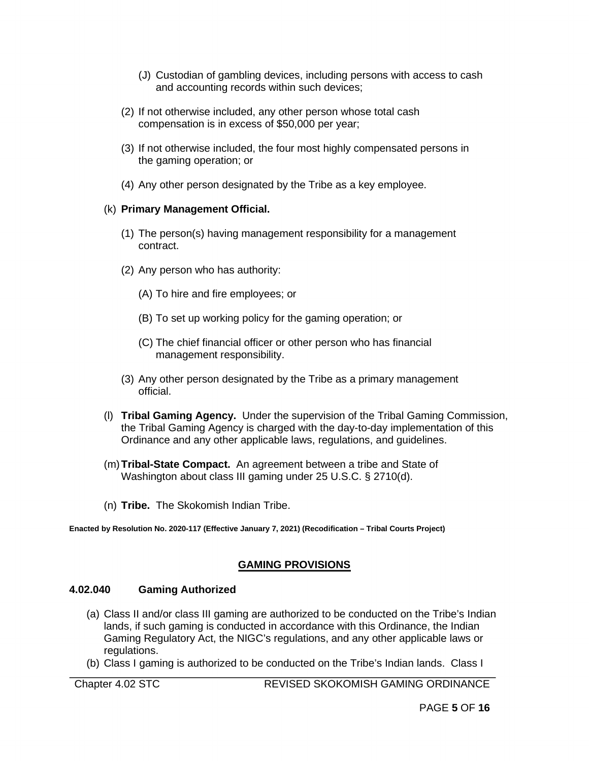- (J) Custodian of gambling devices, including persons with access to cash and accounting records within such devices;
- (2) If not otherwise included, any other person whose total cash compensation is in excess of \$50,000 per year;
- (3) If not otherwise included, the four most highly compensated persons in the gaming operation; or
- (4) Any other person designated by the Tribe as a key employee.

#### (k) **Primary Management Official.**

- (1) The person(s) having management responsibility for a management contract.
- (2) Any person who has authority:
	- (A) To hire and fire employees; or
	- (B) To set up working policy for the gaming operation; or
	- (C) The chief financial officer or other person who has financial management responsibility.
- (3) Any other person designated by the Tribe as a primary management official.
- (l) **Tribal Gaming Agency.** Under the supervision of the Tribal Gaming Commission, the Tribal Gaming Agency is charged with the day-to-day implementation of this Ordinance and any other applicable laws, regulations, and guidelines.
- (m)**Tribal-State Compact.** An agreement between a tribe and State of Washington about class III gaming under 25 U.S.C. § 2710(d).
- (n) **Tribe.** The Skokomish Indian Tribe.

**Enacted by Resolution No. 2020-117 (Effective January 7, 2021) (Recodification – Tribal Courts Project)**

## **GAMING PROVISIONS**

#### **4.02.040 Gaming Authorized**

- (a) Class II and/or class III gaming are authorized to be conducted on the Tribe's Indian lands, if such gaming is conducted in accordance with this Ordinance, the Indian Gaming Regulatory Act, the NIGC's regulations, and any other applicable laws or regulations.
- (b) Class I gaming is authorized to be conducted on the Tribe's Indian lands. Class I

Chapter 4.02 STC REVISED SKOKOMISH GAMING ORDINANCE

PAGE **5** OF **16**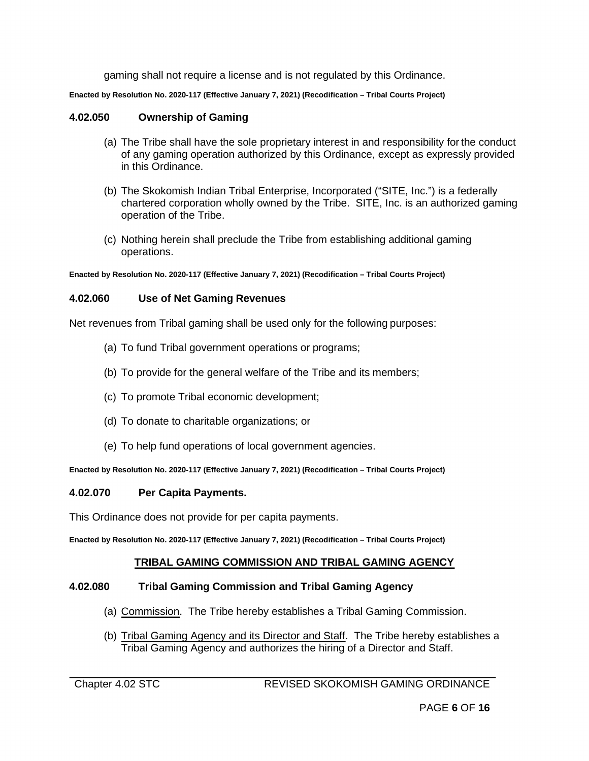gaming shall not require a license and is not regulated by this Ordinance.

**Enacted by Resolution No. 2020-117 (Effective January 7, 2021) (Recodification – Tribal Courts Project)**

## **4.02.050 Ownership of Gaming**

- (a) The Tribe shall have the sole proprietary interest in and responsibility for the conduct of any gaming operation authorized by this Ordinance, except as expressly provided in this Ordinance.
- (b) The Skokomish Indian Tribal Enterprise, Incorporated ("SITE, Inc.") is a federally chartered corporation wholly owned by the Tribe. SITE, Inc. is an authorized gaming operation of the Tribe.
- (c) Nothing herein shall preclude the Tribe from establishing additional gaming operations.

**Enacted by Resolution No. 2020-117 (Effective January 7, 2021) (Recodification – Tribal Courts Project)**

## **4.02.060 Use of Net Gaming Revenues**

Net revenues from Tribal gaming shall be used only for the following purposes:

- (a) To fund Tribal government operations or programs;
- (b) To provide for the general welfare of the Tribe and its members;
- (c) To promote Tribal economic development;
- (d) To donate to charitable organizations; or
- (e) To help fund operations of local government agencies.

**Enacted by Resolution No. 2020-117 (Effective January 7, 2021) (Recodification – Tribal Courts Project)**

#### **4.02.070 Per Capita Payments.**

This Ordinance does not provide for per capita payments.

**Enacted by Resolution No. 2020-117 (Effective January 7, 2021) (Recodification – Tribal Courts Project)**

## **TRIBAL GAMING COMMISSION AND TRIBAL GAMING AGENCY**

#### **4.02.080 Tribal Gaming Commission and Tribal Gaming Agency**

- (a) Commission. The Tribe hereby establishes a Tribal Gaming Commission.
- (b) Tribal Gaming Agency and its Director and Staff. The Tribe hereby establishes a Tribal Gaming Agency and authorizes the hiring of a Director and Staff.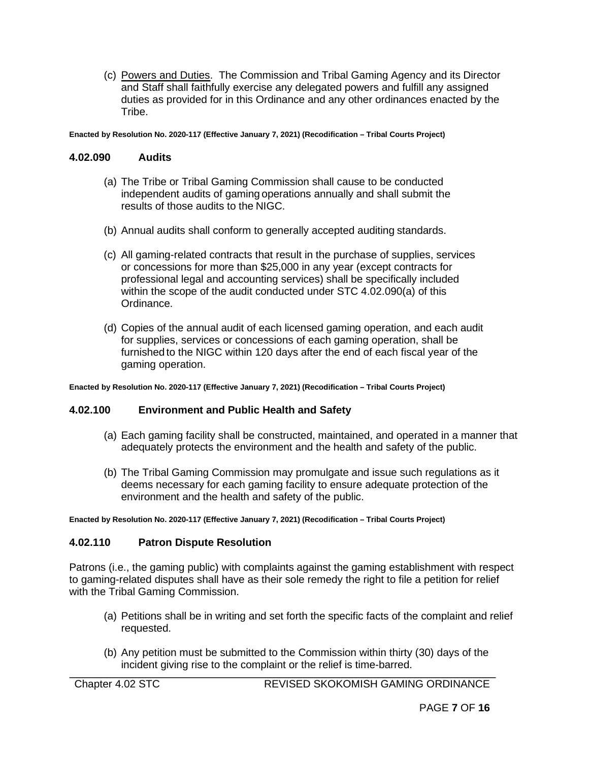(c) Powers and Duties. The Commission and Tribal Gaming Agency and its Director and Staff shall faithfully exercise any delegated powers and fulfill any assigned duties as provided for in this Ordinance and any other ordinances enacted by the Tribe.

**Enacted by Resolution No. 2020-117 (Effective January 7, 2021) (Recodification – Tribal Courts Project)**

#### **4.02.090 Audits**

- (a) The Tribe or Tribal Gaming Commission shall cause to be conducted independent audits of gaming operations annually and shall submit the results of those audits to the NIGC.
- (b) Annual audits shall conform to generally accepted auditing standards.
- (c) All gaming-related contracts that result in the purchase of supplies, services or concessions for more than \$25,000 in any year (except contracts for professional legal and accounting services) shall be specifically included within the scope of the audit conducted under STC 4.02.090(a) of this Ordinance.
- (d) Copies of the annual audit of each licensed gaming operation, and each audit for supplies, services or concessions of each gaming operation, shall be furnished to the NIGC within 120 days after the end of each fiscal year of the gaming operation.

**Enacted by Resolution No. 2020-117 (Effective January 7, 2021) (Recodification – Tribal Courts Project)**

## **4.02.100 Environment and Public Health and Safety**

- (a) Each gaming facility shall be constructed, maintained, and operated in a manner that adequately protects the environment and the health and safety of the public.
- (b) The Tribal Gaming Commission may promulgate and issue such regulations as it deems necessary for each gaming facility to ensure adequate protection of the environment and the health and safety of the public.

**Enacted by Resolution No. 2020-117 (Effective January 7, 2021) (Recodification – Tribal Courts Project)**

## **4.02.110 Patron Dispute Resolution**

Patrons (i.e., the gaming public) with complaints against the gaming establishment with respect to gaming-related disputes shall have as their sole remedy the right to file a petition for relief with the Tribal Gaming Commission.

- (a) Petitions shall be in writing and set forth the specific facts of the complaint and relief requested.
- (b) Any petition must be submitted to the Commission within thirty (30) days of the incident giving rise to the complaint or the relief is time-barred.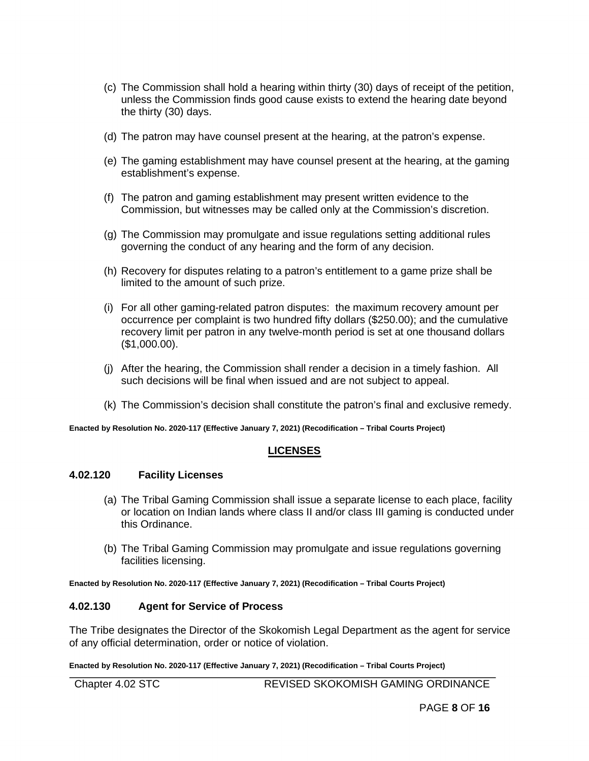- (c) The Commission shall hold a hearing within thirty (30) days of receipt of the petition, unless the Commission finds good cause exists to extend the hearing date beyond the thirty (30) days.
- (d) The patron may have counsel present at the hearing, at the patron's expense.
- (e) The gaming establishment may have counsel present at the hearing, at the gaming establishment's expense.
- (f) The patron and gaming establishment may present written evidence to the Commission, but witnesses may be called only at the Commission's discretion.
- (g) The Commission may promulgate and issue regulations setting additional rules governing the conduct of any hearing and the form of any decision.
- (h) Recovery for disputes relating to a patron's entitlement to a game prize shall be limited to the amount of such prize.
- (i) For all other gaming-related patron disputes: the maximum recovery amount per occurrence per complaint is two hundred fifty dollars (\$250.00); and the cumulative recovery limit per patron in any twelve-month period is set at one thousand dollars (\$1,000.00).
- (j) After the hearing, the Commission shall render a decision in a timely fashion. All such decisions will be final when issued and are not subject to appeal.
- (k) The Commission's decision shall constitute the patron's final and exclusive remedy.

## **LICENSES**

#### **4.02.120 Facility Licenses**

- (a) The Tribal Gaming Commission shall issue a separate license to each place, facility or location on Indian lands where class II and/or class III gaming is conducted under this Ordinance.
- (b) The Tribal Gaming Commission may promulgate and issue regulations governing facilities licensing.

**Enacted by Resolution No. 2020-117 (Effective January 7, 2021) (Recodification – Tribal Courts Project)**

## **4.02.130 Agent for Service of Process**

The Tribe designates the Director of the Skokomish Legal Department as the agent for service of any official determination, order or notice of violation.

**Enacted by Resolution No. 2020-117 (Effective January 7, 2021) (Recodification – Tribal Courts Project)** 

Chapter 4.02 STC REVISED SKOKOMISH GAMING ORDINANCE

PAGE **8** OF **16**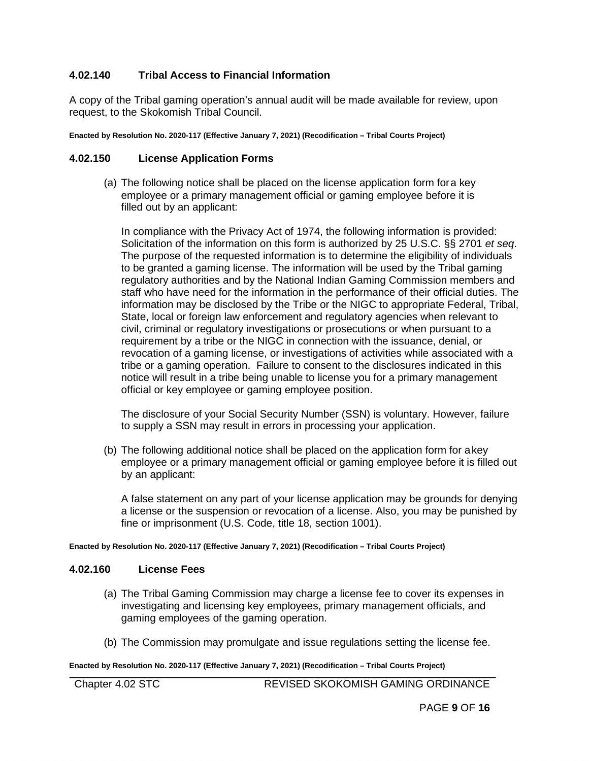## **4.02.140 Tribal Access to Financial Information**

A copy of the Tribal gaming operation's annual audit will be made available for review, upon request, to the Skokomish Tribal Council.

**Enacted by Resolution No. 2020-117 (Effective January 7, 2021) (Recodification – Tribal Courts Project)**

## **4.02.150 License Application Forms**

(a) The following notice shall be placed on the license application form fora key employee or a primary management official or gaming employee before it is filled out by an applicant:

In compliance with the Privacy Act of 1974, the following information is provided: Solicitation of the information on this form is authorized by 25 U.S.C. §§ 2701 *et seq*. The purpose of the requested information is to determine the eligibility of individuals to be granted a gaming license. The information will be used by the Tribal gaming regulatory authorities and by the National Indian Gaming Commission members and staff who have need for the information in the performance of their official duties. The information may be disclosed by the Tribe or the NIGC to appropriate Federal, Tribal, State, local or foreign law enforcement and regulatory agencies when relevant to civil, criminal or regulatory investigations or prosecutions or when pursuant to a requirement by a tribe or the NIGC in connection with the issuance, denial, or revocation of a gaming license, or investigations of activities while associated with a tribe or a gaming operation. Failure to consent to the disclosures indicated in this notice will result in a tribe being unable to license you for a primary management official or key employee or gaming employee position.

The disclosure of your Social Security Number (SSN) is voluntary. However, failure to supply a SSN may result in errors in processing your application.

(b) The following additional notice shall be placed on the application form for a key employee or a primary management official or gaming employee before it is filled out by an applicant:

A false statement on any part of your license application may be grounds for denying a license or the suspension or revocation of a license. Also, you may be punished by fine or imprisonment (U.S. Code, title 18, section 1001).

**Enacted by Resolution No. 2020-117 (Effective January 7, 2021) (Recodification – Tribal Courts Project)** 

#### **4.02.160 License Fees**

- (a) The Tribal Gaming Commission may charge a license fee to cover its expenses in investigating and licensing key employees, primary management officials, and gaming employees of the gaming operation.
- (b) The Commission may promulgate and issue regulations setting the license fee.

**Enacted by Resolution No. 2020-117 (Effective January 7, 2021) (Recodification – Tribal Courts Project)**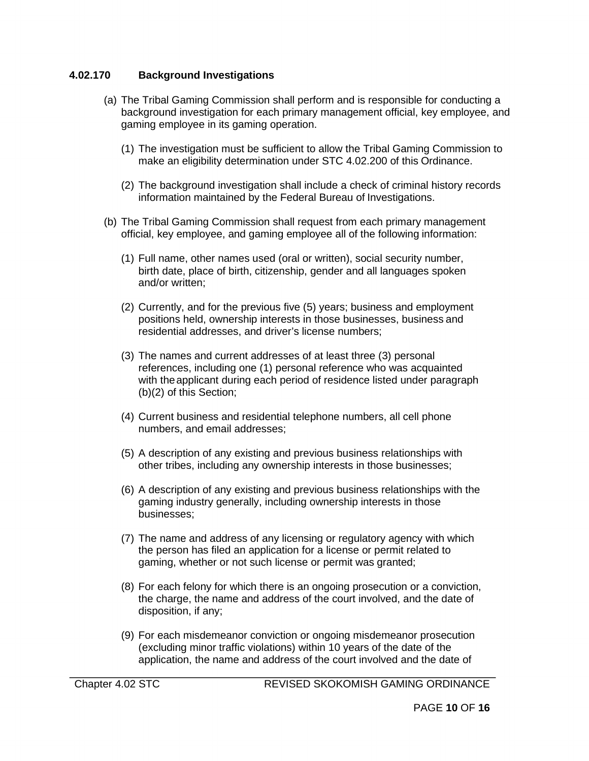## **4.02.170 Background Investigations**

- (a) The Tribal Gaming Commission shall perform and is responsible for conducting a background investigation for each primary management official, key employee, and gaming employee in its gaming operation.
	- (1) The investigation must be sufficient to allow the Tribal Gaming Commission to make an eligibility determination under STC 4.02.200 of this Ordinance.
	- (2) The background investigation shall include a check of criminal history records information maintained by the Federal Bureau of Investigations.
- (b) The Tribal Gaming Commission shall request from each primary management official, key employee, and gaming employee all of the following information:
	- (1) Full name, other names used (oral or written), social security number, birth date, place of birth, citizenship, gender and all languages spoken and/or written;
	- (2) Currently, and for the previous five (5) years; business and employment positions held, ownership interests in those businesses, business and residential addresses, and driver's license numbers;
	- (3) The names and current addresses of at least three (3) personal references, including one (1) personal reference who was acquainted with theapplicant during each period of residence listed under paragraph (b)(2) of this Section;
	- (4) Current business and residential telephone numbers, all cell phone numbers, and email addresses;
	- (5) A description of any existing and previous business relationships with other tribes, including any ownership interests in those businesses;
	- (6) A description of any existing and previous business relationships with the gaming industry generally, including ownership interests in those businesses;
	- (7) The name and address of any licensing or regulatory agency with which the person has filed an application for a license or permit related to gaming, whether or not such license or permit was granted;
	- (8) For each felony for which there is an ongoing prosecution or a conviction, the charge, the name and address of the court involved, and the date of disposition, if any;
	- (9) For each misdemeanor conviction or ongoing misdemeanor prosecution (excluding minor traffic violations) within 10 years of the date of the application, the name and address of the court involved and the date of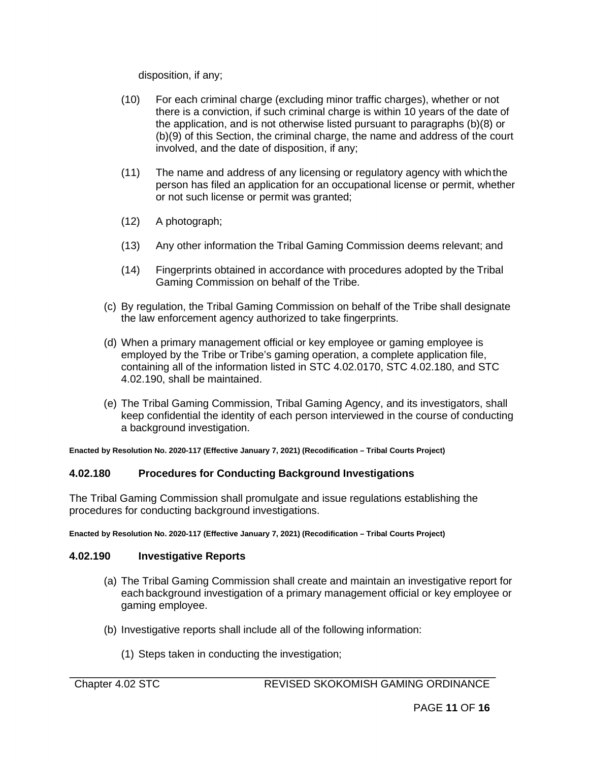disposition, if any;

- (10) For each criminal charge (excluding minor traffic charges), whether or not there is a conviction, if such criminal charge is within 10 years of the date of the application, and is not otherwise listed pursuant to paragraphs (b)(8) or (b)(9) of this Section, the criminal charge, the name and address of the court involved, and the date of disposition, if any;
- (11) The name and address of any licensing or regulatory agency with whichthe person has filed an application for an occupational license or permit, whether or not such license or permit was granted;
- (12) A photograph;
- (13) Any other information the Tribal Gaming Commission deems relevant; and
- (14) Fingerprints obtained in accordance with procedures adopted by the Tribal Gaming Commission on behalf of the Tribe.
- (c) By regulation, the Tribal Gaming Commission on behalf of the Tribe shall designate the law enforcement agency authorized to take fingerprints.
- (d) When a primary management official or key employee or gaming employee is employed by the Tribe or Tribe's gaming operation, a complete application file, containing all of the information listed in STC 4.02.0170, STC 4.02.180, and STC 4.02.190, shall be maintained.
- (e) The Tribal Gaming Commission, Tribal Gaming Agency, and its investigators, shall keep confidential the identity of each person interviewed in the course of conducting a background investigation.

**Enacted by Resolution No. 2020-117 (Effective January 7, 2021) (Recodification – Tribal Courts Project)** 

## **4.02.180 Procedures for Conducting Background Investigations**

The Tribal Gaming Commission shall promulgate and issue regulations establishing the procedures for conducting background investigations.

**Enacted by Resolution No. 2020-117 (Effective January 7, 2021) (Recodification – Tribal Courts Project)**

## **4.02.190 Investigative Reports**

- (a) The Tribal Gaming Commission shall create and maintain an investigative report for each background investigation of a primary management official or key employee or gaming employee.
- (b) Investigative reports shall include all of the following information:
	- (1) Steps taken in conducting the investigation;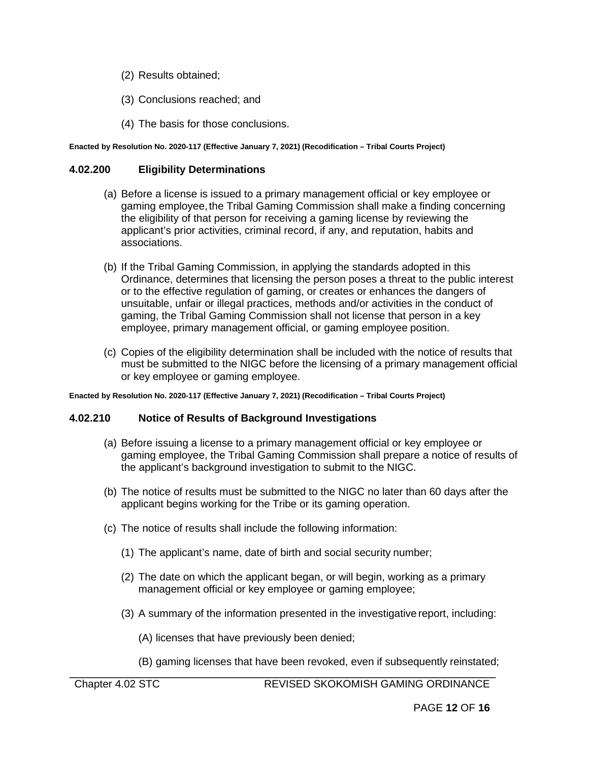- (2) Results obtained;
- (3) Conclusions reached; and
- (4) The basis for those conclusions.

## **4.02.200 Eligibility Determinations**

- (a) Before a license is issued to a primary management official or key employee or gaming employee, the Tribal Gaming Commission shall make a finding concerning the eligibility of that person for receiving a gaming license by reviewing the applicant's prior activities, criminal record, if any, and reputation, habits and associations.
- (b) If the Tribal Gaming Commission, in applying the standards adopted in this Ordinance, determines that licensing the person poses a threat to the public interest or to the effective regulation of gaming, or creates or enhances the dangers of unsuitable, unfair or illegal practices, methods and/or activities in the conduct of gaming, the Tribal Gaming Commission shall not license that person in a key employee, primary management official, or gaming employee position.
- (c) Copies of the eligibility determination shall be included with the notice of results that must be submitted to the NIGC before the licensing of a primary management official or key employee or gaming employee.

**Enacted by Resolution No. 2020-117 (Effective January 7, 2021) (Recodification – Tribal Courts Project)**

## **4.02.210 Notice of Results of Background Investigations**

- (a) Before issuing a license to a primary management official or key employee or gaming employee, the Tribal Gaming Commission shall prepare a notice of results of the applicant's background investigation to submit to the NIGC.
- (b) The notice of results must be submitted to the NIGC no later than 60 days after the applicant begins working for the Tribe or its gaming operation.
- (c) The notice of results shall include the following information:
	- (1) The applicant's name, date of birth and social security number;
	- (2) The date on which the applicant began, or will begin, working as a primary management official or key employee or gaming employee;
	- (3) A summary of the information presented in the investigative report, including:

(A) licenses that have previously been denied;

(B) gaming licenses that have been revoked, even if subsequently reinstated;

Chapter 4.02 STC REVISED SKOKOMISH GAMING ORDINANCE

PAGE **12** OF **16**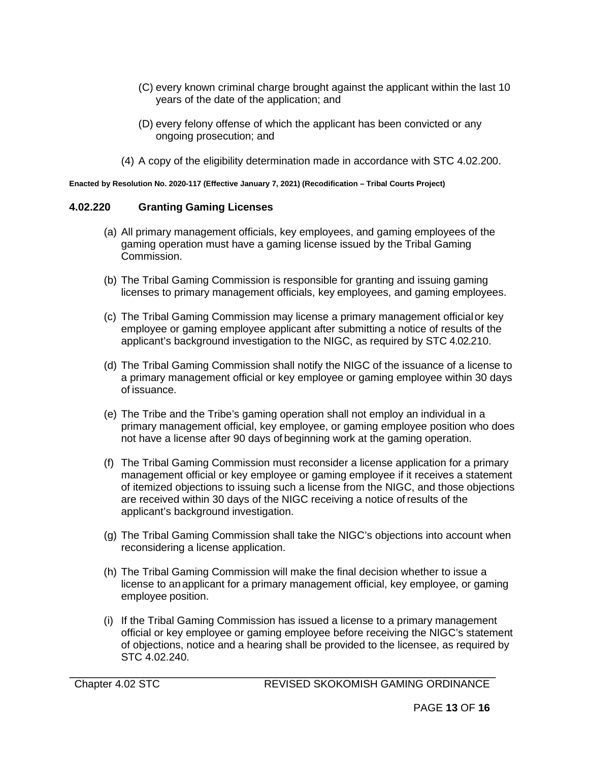- (C) every known criminal charge brought against the applicant within the last 10 years of the date of the application; and
- (D) every felony offense of which the applicant has been convicted or any ongoing prosecution; and
- (4) A copy of the eligibility determination made in accordance with STC 4.02.200.

#### **4.02.220 Granting Gaming Licenses**

- (a) All primary management officials, key employees, and gaming employees of the gaming operation must have a gaming license issued by the Tribal Gaming Commission.
- (b) The Tribal Gaming Commission is responsible for granting and issuing gaming licenses to primary management officials, key employees, and gaming employees.
- (c) The Tribal Gaming Commission may license a primary management officialor key employee or gaming employee applicant after submitting a notice of results of the applicant's background investigation to the NIGC, as required by STC 4.02.210.
- (d) The Tribal Gaming Commission shall notify the NIGC of the issuance of a license to a primary management official or key employee or gaming employee within 30 days of issuance.
- (e) The Tribe and the Tribe's gaming operation shall not employ an individual in a primary management official, key employee, or gaming employee position who does not have a license after 90 days of beginning work at the gaming operation.
- (f) The Tribal Gaming Commission must reconsider a license application for a primary management official or key employee or gaming employee if it receives a statement of itemized objections to issuing such a license from the NIGC, and those objections are received within 30 days of the NIGC receiving a notice of results of the applicant's background investigation.
- (g) The Tribal Gaming Commission shall take the NIGC's objections into account when reconsidering a license application.
- (h) The Tribal Gaming Commission will make the final decision whether to issue a license to an applicant for a primary management official, key employee, or gaming employee position.
- (i) If the Tribal Gaming Commission has issued a license to a primary management official or key employee or gaming employee before receiving the NIGC's statement of objections, notice and a hearing shall be provided to the licensee, as required by STC 4.02.240.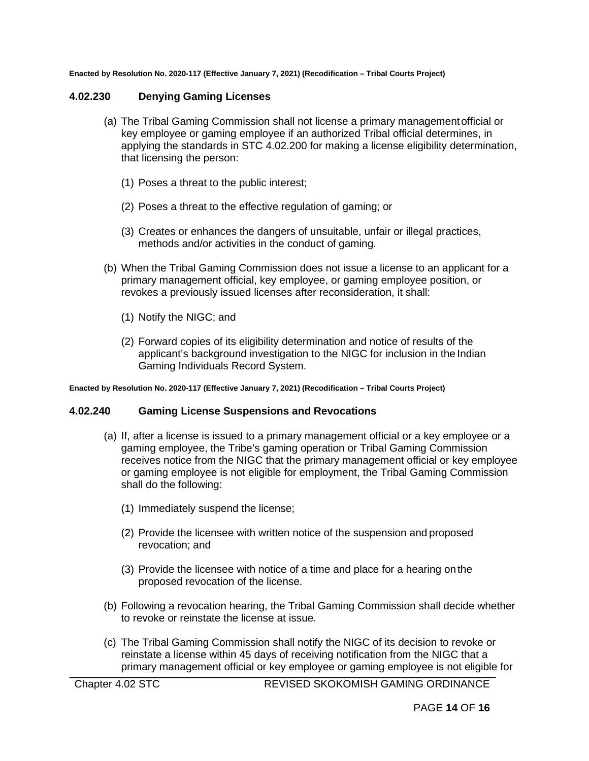#### **4.02.230 Denying Gaming Licenses**

- (a) The Tribal Gaming Commission shall not license a primary managementofficial or key employee or gaming employee if an authorized Tribal official determines, in applying the standards in STC 4.02.200 for making a license eligibility determination, that licensing the person:
	- (1) Poses a threat to the public interest;
	- (2) Poses a threat to the effective regulation of gaming; or
	- (3) Creates or enhances the dangers of unsuitable, unfair or illegal practices, methods and/or activities in the conduct of gaming.
- (b) When the Tribal Gaming Commission does not issue a license to an applicant for a primary management official, key employee, or gaming employee position, or revokes a previously issued licenses after reconsideration, it shall:
	- (1) Notify the NIGC; and
	- (2) Forward copies of its eligibility determination and notice of results of the applicant's background investigation to the NIGC for inclusion in the Indian Gaming Individuals Record System.

**Enacted by Resolution No. 2020-117 (Effective January 7, 2021) (Recodification – Tribal Courts Project)**

#### **4.02.240 Gaming License Suspensions and Revocations**

- (a) If, after a license is issued to a primary management official or a key employee or a gaming employee, the Tribe's gaming operation or Tribal Gaming Commission receives notice from the NIGC that the primary management official or key employee or gaming employee is not eligible for employment, the Tribal Gaming Commission shall do the following:
	- (1) Immediately suspend the license;
	- (2) Provide the licensee with written notice of the suspension and proposed revocation; and
	- (3) Provide the licensee with notice of a time and place for a hearing onthe proposed revocation of the license.
- (b) Following a revocation hearing, the Tribal Gaming Commission shall decide whether to revoke or reinstate the license at issue.
- (c) The Tribal Gaming Commission shall notify the NIGC of its decision to revoke or reinstate a license within 45 days of receiving notification from the NIGC that a primary management official or key employee or gaming employee is not eligible for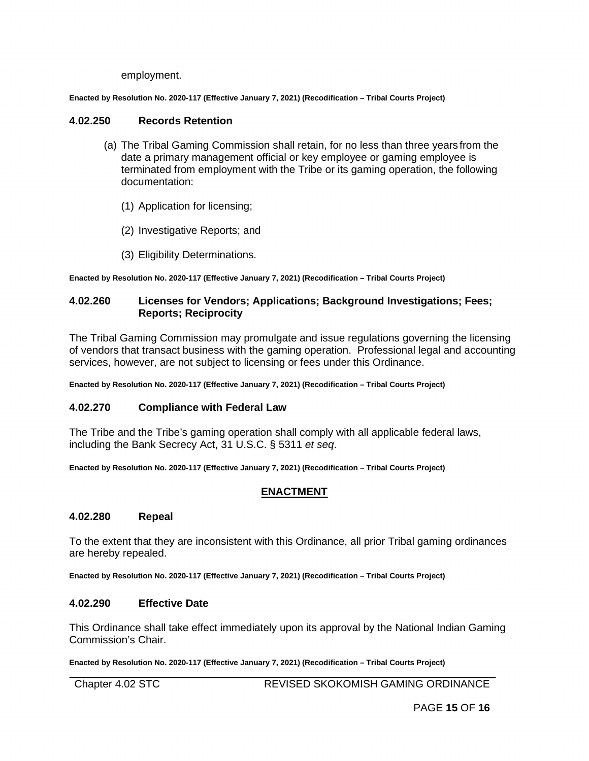employment.

**Enacted by Resolution No. 2020-117 (Effective January 7, 2021) (Recodification – Tribal Courts Project)**

#### **4.02.250 Records Retention**

- (a) The Tribal Gaming Commission shall retain, for no less than three years from the date a primary management official or key employee or gaming employee is terminated from employment with the Tribe or its gaming operation, the following documentation:
	- (1) Application for licensing;
	- (2) Investigative Reports; and
	- (3) Eligibility Determinations.

**Enacted by Resolution No. 2020-117 (Effective January 7, 2021) (Recodification – Tribal Courts Project)**

#### **4.02.260 Licenses for Vendors; Applications; Background Investigations; Fees; Reports; Reciprocity**

The Tribal Gaming Commission may promulgate and issue regulations governing the licensing of vendors that transact business with the gaming operation. Professional legal and accounting services, however, are not subject to licensing or fees under this Ordinance.

**Enacted by Resolution No. 2020-117 (Effective January 7, 2021) (Recodification – Tribal Courts Project)**

#### **4.02.270 Compliance with Federal Law**

The Tribe and the Tribe's gaming operation shall comply with all applicable federal laws, including the Bank Secrecy Act, 31 U.S.C. § 5311 *et seq*.

**Enacted by Resolution No. 2020-117 (Effective January 7, 2021) (Recodification – Tribal Courts Project)**

# **ENACTMENT**

#### **4.02.280 Repeal**

To the extent that they are inconsistent with this Ordinance, all prior Tribal gaming ordinances are hereby repealed.

**Enacted by Resolution No. 2020-117 (Effective January 7, 2021) (Recodification – Tribal Courts Project)**

#### **4.02.290 Effective Date**

This Ordinance shall take effect immediately upon its approval by the National Indian Gaming Commission's Chair.

**Enacted by Resolution No. 2020-117 (Effective January 7, 2021) (Recodification – Tribal Courts Project)**

Chapter 4.02 STC REVISED SKOKOMISH GAMING ORDINANCE

PAGE **15** OF **16**